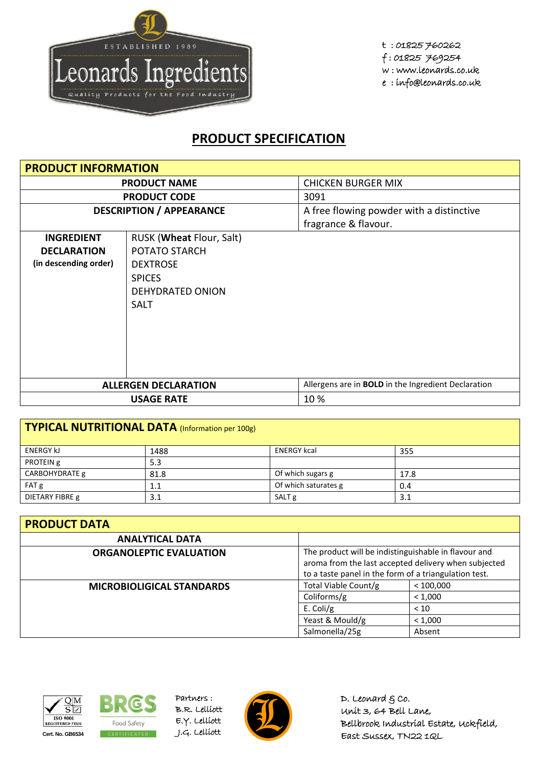

t : 01825 760262 f : 01825 769254 w : www.leonards.co.uk e : info@leonards.co.uk

## **PRODUCT SPECIFICATION**

| <b>PRODUCT INFORMATION</b>      |                             |                                                            |
|---------------------------------|-----------------------------|------------------------------------------------------------|
| <b>PRODUCT NAME</b>             |                             | <b>CHICKEN BURGER MIX</b>                                  |
|                                 | <b>PRODUCT CODE</b>         | 3091                                                       |
| <b>DESCRIPTION / APPEARANCE</b> |                             | A free flowing powder with a distinctive                   |
|                                 |                             | fragrance & flavour.                                       |
| <b>INGREDIENT</b>               | RUSK (Wheat Flour, Salt)    |                                                            |
| <b>DECLARATION</b>              | POTATO STARCH               |                                                            |
| (in descending order)           | <b>DEXTROSE</b>             |                                                            |
| <b>SPICES</b>                   |                             |                                                            |
| <b>DEHYDRATED ONION</b>         |                             |                                                            |
| <b>SALT</b>                     |                             |                                                            |
|                                 |                             |                                                            |
|                                 |                             |                                                            |
|                                 |                             |                                                            |
|                                 |                             |                                                            |
|                                 |                             |                                                            |
|                                 | <b>ALLERGEN DECLARATION</b> | Allergens are in <b>BOLD</b> in the Ingredient Declaration |
| <b>USAGE RATE</b>               |                             | 10%                                                        |

| TYPICAL NUTRITIONAL DATA (Information per 100g) |      |                      |      |  |
|-------------------------------------------------|------|----------------------|------|--|
| <b>ENERGY kJ</b>                                | 1488 | <b>ENERGY kcal</b>   | 355  |  |
| PROTEIN g                                       | 5.3  |                      |      |  |
| CARBOHYDRATE g                                  | 81.8 | Of which sugars g    | 17.8 |  |
| FAT g                                           | 1.1  | Of which saturates g | 0.4  |  |
| DIETARY FIBRE g                                 | 3.1  | SALT <sub>g</sub>    | 3.1  |  |

| <b>PRODUCT DATA</b>              |                                                                                                                                                                       |           |  |  |
|----------------------------------|-----------------------------------------------------------------------------------------------------------------------------------------------------------------------|-----------|--|--|
| <b>ANALYTICAL DATA</b>           |                                                                                                                                                                       |           |  |  |
| <b>ORGANOLEPTIC EVALUATION</b>   | The product will be indistinguishable in flavour and<br>aroma from the last accepted delivery when subjected<br>to a taste panel in the form of a triangulation test. |           |  |  |
| <b>MICROBIOLIGICAL STANDARDS</b> | Total Viable Count/g                                                                                                                                                  | < 100,000 |  |  |
|                                  | Coliforms/g<br>< 1,000                                                                                                                                                |           |  |  |
|                                  | E. Coli/g<br>< 10                                                                                                                                                     |           |  |  |
|                                  | Yeast & Mould/g                                                                                                                                                       | < 1,000   |  |  |
|                                  | Salmonella/25g                                                                                                                                                        | Absent    |  |  |





Partners : B.R. Lelliott E.Y. Lelliott



D. Leonard  $g$  co. Unit 3, 64 Bell Lane, Bellbrook Industrial Estate, Uckfield, East Sussex, TN22 1QL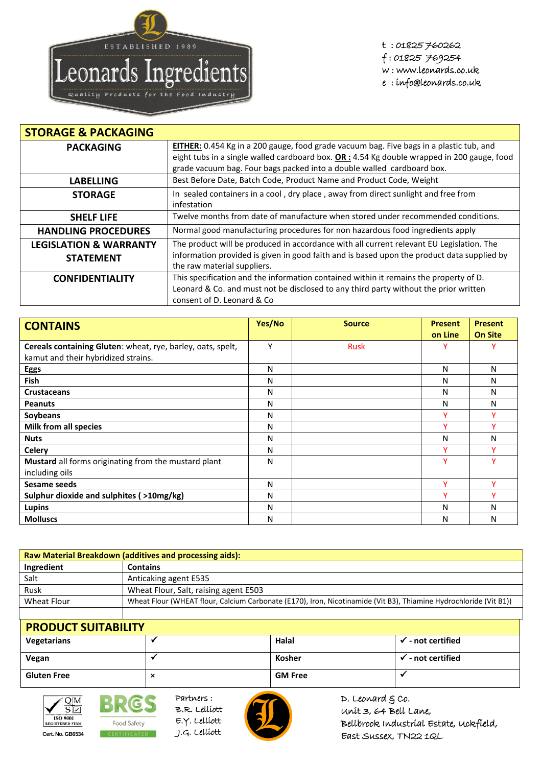

t : 01825 760262 f : 01825 769254 w : www.leonards.co.uk e : info@leonards.co.uk

| <b>STORAGE &amp; PACKAGING</b>    |                                                                                              |  |
|-----------------------------------|----------------------------------------------------------------------------------------------|--|
| <b>PACKAGING</b>                  | EITHER: 0.454 Kg in a 200 gauge, food grade vacuum bag. Five bags in a plastic tub, and      |  |
|                                   | eight tubs in a single walled cardboard box. $OR: 4.54$ Kg double wrapped in 200 gauge, food |  |
|                                   | grade vacuum bag. Four bags packed into a double walled cardboard box.                       |  |
| <b>LABELLING</b>                  | Best Before Date, Batch Code, Product Name and Product Code, Weight                          |  |
| <b>STORAGE</b>                    | In sealed containers in a cool, dry place, away from direct sunlight and free from           |  |
|                                   | infestation                                                                                  |  |
| <b>SHELF LIFE</b>                 | Twelve months from date of manufacture when stored under recommended conditions.             |  |
| <b>HANDLING PROCEDURES</b>        | Normal good manufacturing procedures for non hazardous food ingredients apply                |  |
| <b>LEGISLATION &amp; WARRANTY</b> | The product will be produced in accordance with all current relevant EU Legislation. The     |  |
| <b>STATEMENT</b>                  | information provided is given in good faith and is based upon the product data supplied by   |  |
|                                   | the raw material suppliers.                                                                  |  |
| <b>CONFIDENTIALITY</b>            | This specification and the information contained within it remains the property of D.        |  |
|                                   | Leonard & Co. and must not be disclosed to any third party without the prior written         |  |
|                                   | consent of D. Leonard & Co                                                                   |  |

| <b>CONTAINS</b>                                             | Yes/No | <b>Source</b> | <b>Present</b> | <b>Present</b> |
|-------------------------------------------------------------|--------|---------------|----------------|----------------|
|                                                             |        |               | on Line        | <b>On Site</b> |
| Cereals containing Gluten: wheat, rye, barley, oats, spelt, | Y      | <b>Rusk</b>   | Y              |                |
| kamut and their hybridized strains.                         |        |               |                |                |
| <b>Eggs</b>                                                 | N      |               | N              | N              |
| <b>Fish</b>                                                 | N      |               | N              | N              |
| <b>Crustaceans</b>                                          | N      |               | N              | N              |
| <b>Peanuts</b>                                              | N      |               | N              | N              |
| Soybeans                                                    | N      |               | $\checkmark$   | v              |
| Milk from all species                                       | N      |               | $\checkmark$   |                |
| <b>Nuts</b>                                                 | N      |               | N              | N              |
| <b>Celery</b>                                               | N      |               | Y              | $\checkmark$   |
| Mustard all forms originating from the mustard plant        | N      |               | Y              | v              |
| including oils                                              |        |               |                |                |
| Sesame seeds                                                | N      |               | Y              | v              |
| Sulphur dioxide and sulphites ( >10mg/kg)                   | N      |               | ۷              | v              |
| Lupins                                                      | N      |               | N              | N              |
| <b>Molluscs</b>                                             | N      |               | N              | N              |

| <b>Raw Material Breakdown (additives and processing aids):</b> |                                                                                                                   |  |  |
|----------------------------------------------------------------|-------------------------------------------------------------------------------------------------------------------|--|--|
| Ingredient                                                     | <b>Contains</b>                                                                                                   |  |  |
| Salt                                                           | Anticaking agent E535                                                                                             |  |  |
| Rusk                                                           | Wheat Flour, Salt, raising agent E503                                                                             |  |  |
| Wheat Flour                                                    | Wheat Flour (WHEAT flour, Calcium Carbonate (E170), Iron, Nicotinamide (Vit B3), Thiamine Hydrochloride (Vit B1)) |  |  |
|                                                                |                                                                                                                   |  |  |

## **PRODUCT SUITABILITY**

| Vegetarians        |                                    | Halal          | $\overline{\phantom{a}}$ - not certified |
|--------------------|------------------------------------|----------------|------------------------------------------|
| Vegan              |                                    | Kosher         | - not certified                          |
| <b>Gluten Free</b> | $\sim$<br>$\overline{\phantom{a}}$ | <b>GM Free</b> |                                          |



Partners : G B.R. Lelliott E.Y. Lelliott Food Safety **Cert. No. GB6534** CERTIFICATED J.G. Lelliott



D. Leonard  $g$  co. Unit 3, 64 Bell Lane, Bellbrook Industrial Estate, Uckfield, East Sussex, TN22 1QL